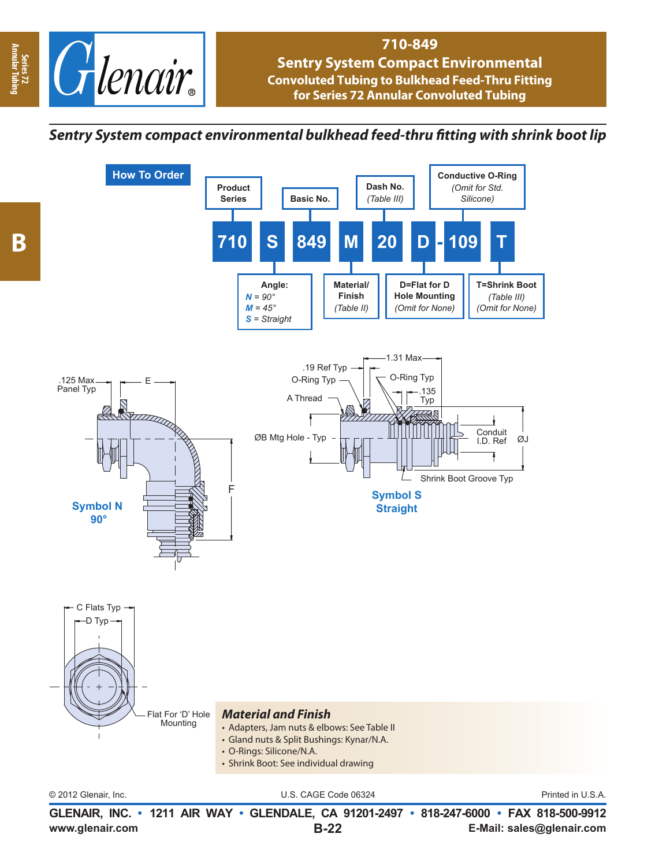

## **710-849 Sentry System Compact Environmental Convoluted Tubing to Bulkhead Feed-Thru Fitting for Series 72 Annular Convoluted Tubing**

## *Sentry System compact environmental bulkhead feed-thru fi tting with shrink boot lip*



**www.glenair.com E-Mail: sales@glenair.com GLENAIR, INC. • 1211 AIR WAY • GLENDALE, CA 91201-2497 • 818-247-6000 • FAX 818-500-9912 B-22**

**Annular Tubing**